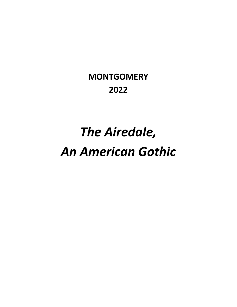# The Airedale, An American Gothic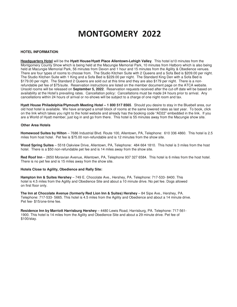#### **HOTEL INFORMATION**:

**Headquarters Hotel** will be the **Hyatt House/Hyatt Place Allentown-Lehigh Valley**. This hotel is10 minutes from the Montgomery County Show which is being held at the Macungie Memorial Park, 10 minutes from Hatboro which is also being held at Macungie Memorial Park, 56 minutes from Devon and 1 hour and 15 minutes from the Agility & Obedience venues. There are four types of rooms to choose from. The Studio Kitchen Suite with 2 Queens and a Sofa Bed is \$209.00 per night. The Studio Kitchen Suite with 1 King and a Sofa Bed is \$229.00 per night. The Standard King Den with a Sofa Bed is \$179.00 per night. The Standard 2 Queens are sold out at this time and they are also \$179 per night. There is a nonrefundable pet fee of \$75/suite. Reservation instructions are listed on the member document page on the ATCA website. Unsold rooms will be released on **September 5, 2022**. Reservation requests received after the cut-off date will be based on availability at the Hotel's prevailing rates. Cancellation policy: Cancellations must be made 24 hours prior to arrival. Any cancellations within 24 hours of arrival or no-shows will be subject to a charge of one night room and tax.

**Hyatt House Philadelphia/Plymouth Meeting Hotel – 1 800 517 8565**. Should you desire to stay in the Bluebell area, our old host hotel is available. We have arranged a small block of rooms at the same lowered rates as last year. To book, click on the link which takes you right to the hotel website and already has the booking code "AD22" embedded in the link. If you are a World of Hyatt member, just log in and go from there. This hotel is 55 minutes away from the Macungie show site.

#### **Other Area Hotels**

**Homewood Suites by Hilton** – 7686 Industrial Blvd. Route 100, Allentown, PA, Telephone: 610 336 4860. This hotel is 2.5 miles from host hotel. Pet fee is \$75.00 non-refundable and is 12 minutes from the show site.

**Wood Spring Suites** – 5518 Oakview Drive, Allentown, PA, Telephone: 484 664 1810. This hotel is 3 miles from the host hotel. There is a \$50 non-refundable pet fee and is 14 miles away from the show site.

**Red Roof Inn** – 2650 Moravian Avenue, Allentown, PA, Telephone 937 327 6584. This hotel is 6 miles from the host hotel. There is no pet fee and is 15 miles away from the show site.

#### **Hotels Close to Agility, Obedience and Rally Site:**

**Hampton Inn & Suites Hershey** – 749 E. Chocolate Ave., Hershey, PA. Telephone: 717-533- 8400. This hotel is 4.5 miles from the Agility and Obedience Site and about a 10 minute drive. No pet fee. Dogs allowed on first floor only.

**The Inn at Chocolate Avenue (formerly Red Lion Inn & Suites) Hershey** – 84 Sipe Ave., Hershey, PA. Telephone: 717-533- 5665. This hotel is 4.5 miles from the Agility and Obedience and about a 14 minute drive. Pet fee- \$15/one-time fee.

**Residence Inn by Marriott Harrisburg Hershey** – 4480 Lewis Road, Harrisburg, PA. Telephone: 717-561- 1900. This hotel is 14 miles from the Agility and Obedience Site and about a 29 minute drive. Pet fee of \$100/stay.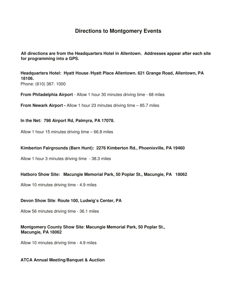# **Directions to Montgomery Events**

**All directions are from the Headquarters Hotel in Allentown. Addresses appear after each site for programming into a GPS.**

**Headquarters Hotel: Hyatt House /Hyatt Place Allentown. 621 Grange Road, Allentown, PA 18106.** 

Phone: (610) 387- 1000

**From Philadelphia Airport** - Allow 1 hour 30 minutes driving time - 68 miles

**From Newark Airport -** Allow 1 hour 23 minutes driving time – 85.7 miles

**In the Net: 798 Airport Rd, Palmyra, PA 17078.** 

Allow 1 hour 15 minutes driving time – 66.8 miles

### **Kimberton Fairgrounds (Barn Hunt): 2276 Kimberton Rd., Phoenixville, PA 19460**

Allow 1 hour 3 minutes driving time - 38.3 miles

### **Hatboro Show Site: Macungie Memorial Park, 50 Poplar St., Macungie, PA 18062**

Allow 10 minutes driving time - 4.9 miles

### **Devon Show Site**: **Route 100, Ludwig's Center, PA**

Allow 56 minutes driving time - 36.1 miles

### **Montgomery County Show Site**: **Macungie Memorial Park, 50 Poplar St., Macungie, PA 18062**

Allow 10 minutes driving time - 4.9 miles

### **ATCA Annual Meeting/Banquet & Auction**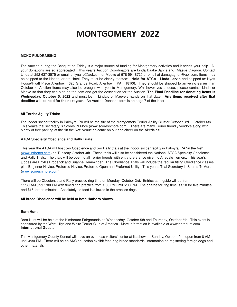### **MCKC FUNDRAISING**

The Auction during the Banquet on Friday is a major source of funding for Montgomery activities and it needs your help. All your donations are so appreciated. This year's Auction Coordinators are Linda Baake Jarvis and Maeve Gagnon. Contact Linda at 252 637-3575 or email at lynaire@aol.com or Maeve at 678 591 8720 or email at damagagnon@aol.com. Items may be shipped to the Headquarters Hotel. They must be clearly marked: **Hold for ATCA - Linda Jarvis** and shipped to: Hyatt House/Hyatt Place Allentown, 620 Grange Road, Allentown, PA 18106. They should be shipped to arrive no earlier than October 4. Auction items may also be brought with you to Montgomery. Whichever you choose, please contact Linda or Maeve so that they can plan on the item and get the description for the Auction. **The Final Deadline for donating items is Wednesday, October 5, 2022** and must be in Linda's or Maeve's hands on that date. **Any items received after that deadline will be held for the next year.** An Auction Donation form is on page 7 of the insert.

### **All Terrier Agility Trials:**

The indoor soccer facility in Palmyra, PA will be the site of the Montgomery Terrier Agility Cluster October 3rd – October 6th. This year's trial secretary is Scores 'N More (www.scoresnmore.com). There are many Terrier friendly vendors along with plenty of free parking at the "In the Net" venue so come on out and cheer on the Airedales!

### **ATCA Specialty Obedience and Rally Trials:**

This year the ATCA will host two Obedience and two Rally trials at the indoor soccer facility in Palmyra, PA "in the Net" (www.inthenet.com) on Tuesday October 4th. These trials will also be considered the National ATCA Specialty Obedience and Rally Trials. The trials will be open to all Terrier breeds with entry preference given to Airedale Terriers. This year's judges are Phyllis Broderick and Suanne Hemminger. The Obedience Trials will include the regular titling Obedience classes plus Beginner Novice, Preferred Novice, Preferred Open and Preferred Utility. This year's Trial Secretary is Scores 'N More (www.scoresnmore.com).

There will be Obedience and Rally practice ring time on Monday, October 3rd. Entries at ringside will be from 11:30 AM until 1:00 PM with timed ring practice from 1:00 PM until 5:00 PM. The charge for ring time is \$10 for five minutes and \$15 for ten minutes. Absolutely no food is allowed in the practice rings.

### **All breed Obedience will be held at both Hatboro shows.**

### **Barn Hunt**

Barn Hunt will be held at the Kimberton Fairgrounds on Wednesday, October 5th and Thursday, October 6th. This event is sponsored by the West Highland White Terrier Club of America. More information is available at www.barnhunt.com **International Guests** 

The Montgomery County Kennel will have an overseas visitors' center at its show on Sunday, October 9th, open from 8 AM until 4:30 PM. There will be an AKC education exhibit featuring breed standards, information on registering foreign dogs and other materials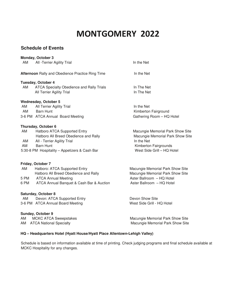# **Schedule of Events**

| AM   | <b>Monday, October 3</b><br>All -Terrier Agility Trial                 | In the Net                                          |
|------|------------------------------------------------------------------------|-----------------------------------------------------|
|      | Afternoon Rally and Obedience Practice Ring Time                       | In the Net                                          |
|      |                                                                        |                                                     |
|      | Tuesday, October 4                                                     |                                                     |
| AM   | ATCA Specialty Obedience and Rally Trials<br>All Terrier Agility Trial | In The Net<br>In The Net                            |
|      | <b>Wednesday, October 5</b>                                            |                                                     |
| AM   | All Terrier Agility Trial                                              | In the Net                                          |
|      | AM Barn Hunt                                                           | Kimberton Fairground                                |
|      | 3-6 PM ATCA Annual Board Meeting                                       | Gathering Room - HQ Hotel                           |
|      | Thursday, October 6                                                    |                                                     |
| AM   | Hatboro ATCA Supported Entry                                           | Macungie Memorial Park Show Site                    |
|      | Hatboro All Breed Obedience and Rally                                  | Macungie Memorial Park Show Site                    |
| AM   | All - Terrier Agility Trial                                            | In the Net                                          |
| AM   | <b>Barn Hunt</b><br>5:30-8 PM Hospitality - Appetizers & Cash Bar      | Kimberton Fairgrounds<br>West Side Grill - HQ Hotel |
|      |                                                                        |                                                     |
|      | Friday, October 7                                                      |                                                     |
| AM   | Hatboro: ATCA Supported Entry                                          | Macungie Memorial Park Show Site                    |
|      | Hatboro All Breed Obedience and Rally                                  | Macungie Memorial Park Show Site                    |
|      | 5 PM ATCA Annual Meeting                                               | Aster Ballroom - HQ Hotel                           |
| 6 PM | ATCA Annual Banquet & Cash Bar & Auction                               | Aster Ballroom - HQ Hotel                           |
|      | Saturday, October 8                                                    |                                                     |
| AM   | Devon: ATCA Supported Entry                                            | Devon Show Site                                     |
|      | 3-6 PM ATCA Annual Board Meeting                                       | West Side Grill - HQ Hotel                          |
|      | Sunday, October 9                                                      |                                                     |
| AM   | <b>MCKC ATCA Sweepstakes</b>                                           | Macungie Memorial Park Show Site                    |
| AM   | <b>ATCA National Specialty</b>                                         | Macungie Memorial Park Show Site                    |
|      |                                                                        |                                                     |

### **HQ – Headquarters Hotel (Hyatt House/Hyatt Place Allentown-Lehigh Valley)**

Schedule is based on information available at time of printing. Check judging programs and final schedule available at MCKC Hospitality for any changes.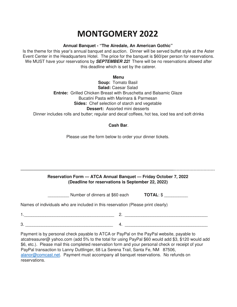### **Annual Banquet - "The Airedale, An American Gothic"**

Is the theme for this year's annual banquet and auction. Dinner will be served buffet style at the Aster Event Center in the Headquarters Hotel. The price for the banquet is \$60/per person for reservations. We MUST have your reservations by **SEPTEMBER 22!** There will be no reservations allowed after this deadline which is set by the caterer.

**Menu** 

**Soup:** Tomato Basil **Salad:** Caesar Salad **Entrée:** Grilled Chicken Breast with Bruschetta and Balsamic Glaze Bucatini Pasta with Marinara & Parmesan **Sides:** Chef selection of starch and vegetable **Dessert:** Assorted mini desserts Dinner includes rolls and butter; regular and decaf coffees, hot tea, iced tea and soft drinks

### **Cash Bar**.

Please use the form below to order your dinner tickets.

### **Reservation Form — ATCA Annual Banquet — Friday October 7, 2022 (Deadline for reservations is September 22, 2022)**

————————————————————————————————————-----------------------------

| Number of dinners at \$60 each | <b>TOTAL: \$</b> |
|--------------------------------|------------------|
|                                |                  |

Names of individuals who are included in this reservation (Please print clearly)

1.\_\_\_\_\_\_\_\_\_\_\_\_\_\_\_\_\_\_\_\_\_\_\_\_\_\_\_\_\_\_\_\_\_\_\_\_\_\_ 2. \_\_\_\_\_\_\_\_\_\_\_\_\_\_\_\_\_\_\_\_\_\_\_\_\_\_\_\_\_\_\_\_\_\_\_  $3.$   $4.$ 

Payment is by personal check payable to ATCA or PayPal on the PayPal website, payable to atcatreasurer@ yahoo.com (add 5% to the total for using PayPal \$60 would add \$3, \$120 would add \$6, etc.). Please mail this completed reservation form and your personal check or receipt of your PayPal transaction to Lanny Duttlinger, 68 La Serena Trail, Santa Fe, NM 87506, alanor@comcast.net. Payment must accompany all banquet reservations. No refunds on reservations.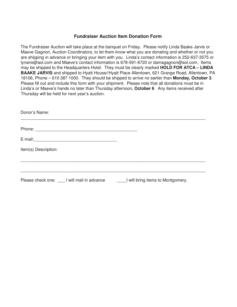### **Fundraiser Auction Item Donation Form**

The Fundraiser Auction will take place at the banquet on Friday. Please notify Linda Baake Jarvis or Maeve Gagnon, Auction Coordinators, to let them know what you are donating and whether or not you are shipping in advance or bringing your item with you. Linda's contact information is 252-637-3575 or lynaire@aol.com and Maeve's contact information is 678-591-8720 or damagagnon@aol.com. Items may be shipped to the Headquarters Hotel. They must be clearly marked **HOLD FOR ATCA – LINDA BAAKE JARVIS** and shipped to Hyatt House//Hyatt Place Allentown, 621 Grange Road, Allentown, PA 18106, Phone – 610 387 1000. They should be shipped to arrive no earlier than **Monday, October 3**. Please fill out and include this form with your shipment. Please note that all donations must be in Linda's or Maeve's hands no later than Thursday afternoon, **October 6** Any items received after Thursday will be held for next year's auction.

| Donor's Name:                                                                |  |
|------------------------------------------------------------------------------|--|
|                                                                              |  |
|                                                                              |  |
| Item(s) Description:                                                         |  |
|                                                                              |  |
| Please check one: 1 will mail in advance 1.1 will bring items to Montgomery. |  |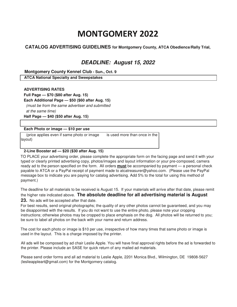### **CATALOG ADVERTISING GUIDELINES for Montgomery County, ATCA Obedience/Rally Trial,**

# **DEADLINE: August 15, 2022**

 **Montgomery County Kennel Club - Sun., Oct. 9** 

 **ATCA National Specialty and Sweepstakes**

 **ADVERTISING RATES Full Page — \$70 (\$80 after Aug. 15) Each Additional Page — \$50 (\$60 after Aug. 15)**  (must be from the same advertiser and submitted at the same time)  **Half Page — \$40 (\$50 after Aug. 15)** 

### **Each Photo or image — \$10 per use**

(price applies even if same photo or image is used more than once in the layout)

### **2-Line Booster ad — \$20 (\$30 after Aug. 15)**

TO PLACE your advertising order, please complete the appropriate form on the facing page and send it with your typed or clearly printed advertising copy, photos/images and layout information or your pre-composed, camera ready ad to the person specified on the form. All orders **must** be accompanied by payment — a personal check payable to ATCA or a PayPal receipt of payment made to atcatreasurer@yahoo.com. (Please use the PayPal message box to indicate you are paying for catalog advertising. Add 5% to the total for using this method of payment.)

The deadline for all materials to be received is August 15. If your materials will arrive after that date, please remit the higher rate indicated above. **The absolute deadline for all advertising material is August** 

**23.** No ads will be accepted after that date.

For best results, send original photographs; the quality of any other photos cannot be guaranteed, and you may be disappointed with the results. If you do not want to use the entire photo, please note your cropping instructions; otherwise photos may be cropped to place emphasis on the dog. All photos will be returned to you; be sure to label all photos on the back with your name and return address.

The cost for each photo or image is \$10 per use, irrespective of how many times that same photo or image is used in the layout. This is a charge imposed by the printer.

All ads will be composed by ad chair Leslie Apple. You will have final approval rights before the ad is forwarded to the printer. Please include an SASE for quick return of any mailed ad materials.

Please send order forms and all ad material to Leslie Apple, 2201 Monica Blvd., Wilmington, DE 19808-5627 (leslieappleart@gmail.com) for the Montgomery catalog.